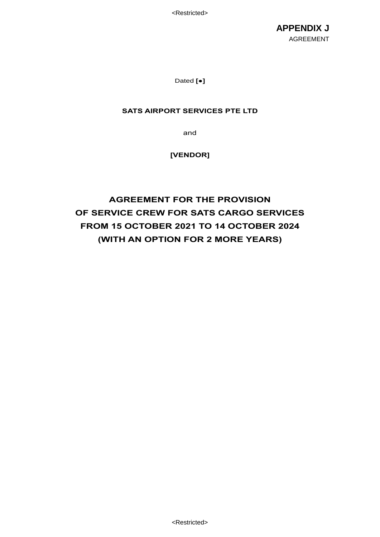<Restricted>

**APPENDIX J** AGREEMENT

Dated **[●]**

# **SATS AIRPORT SERVICES PTE LTD**

and

# **[VENDOR]**

# **AGREEMENT FOR THE PROVISION OF SERVICE CREW FOR SATS CARGO SERVICES FROM 15 OCTOBER 2021 TO 14 OCTOBER 2024 (WITH AN OPTION FOR 2 MORE YEARS)**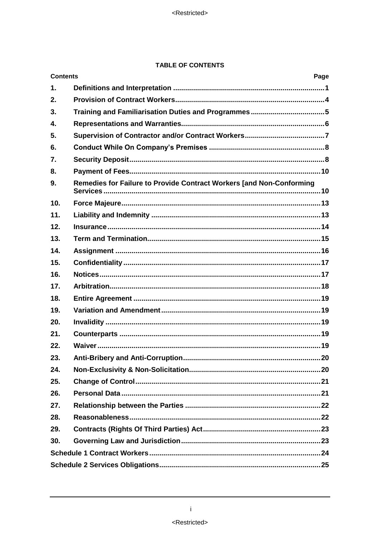# **TABLE OF CONTENTS**

| <b>Contents</b><br>Page |                                                                      |  |  |
|-------------------------|----------------------------------------------------------------------|--|--|
| $\mathbf{1}$ .          |                                                                      |  |  |
| 2.                      |                                                                      |  |  |
| 3.                      |                                                                      |  |  |
| 4.                      |                                                                      |  |  |
| 5.                      |                                                                      |  |  |
| 6.                      |                                                                      |  |  |
| 7.                      |                                                                      |  |  |
| 8.                      |                                                                      |  |  |
| 9.                      | Remedies for Failure to Provide Contract Workers [and Non-Conforming |  |  |
| 10.                     |                                                                      |  |  |
| 11.                     |                                                                      |  |  |
| 12.                     |                                                                      |  |  |
| 13.                     |                                                                      |  |  |
| 14.                     |                                                                      |  |  |
| 15.                     |                                                                      |  |  |
| 16.                     |                                                                      |  |  |
| 17.                     |                                                                      |  |  |
| 18.                     |                                                                      |  |  |
| 19.                     |                                                                      |  |  |
| 20.                     |                                                                      |  |  |
| 21.                     |                                                                      |  |  |
| 22.                     |                                                                      |  |  |
| 23.                     |                                                                      |  |  |
| 24.                     |                                                                      |  |  |
| 25.                     |                                                                      |  |  |
| 26.                     |                                                                      |  |  |
| 27.                     |                                                                      |  |  |
| 28.                     |                                                                      |  |  |
| 29.                     |                                                                      |  |  |
| 30.                     |                                                                      |  |  |
|                         |                                                                      |  |  |
|                         |                                                                      |  |  |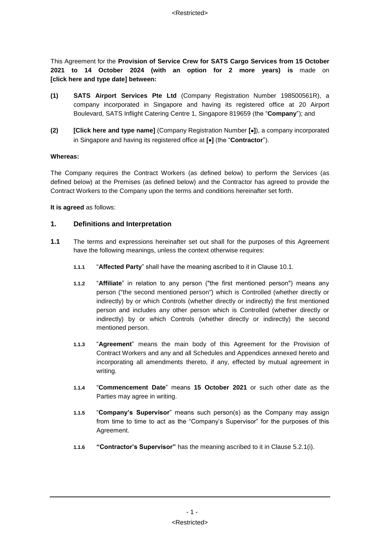This Agreement for the **Provision of Service Crew for SATS Cargo Services from 15 October 2021 to 14 October 2024 (with an option for 2 more years) is** made on **[click here and type date] between:**

- **(1) SATS Airport Services Pte Ltd** (Company Registration Number 198500561R), a company incorporated in Singapore and having its registered office at 20 Airport Boulevard, SATS Inflight Catering Centre 1, Singapore 819659 (the "**Company**"); and
- **(2) [Click here and type name]** (Company Registration Number **[]**), a company incorporated in Singapore and having its registered office at **[]** (the "**Contractor**").

#### **Whereas:**

The Company requires the Contract Workers (as defined below) to perform the Services (as defined below) at the Premises (as defined below) and the Contractor has agreed to provide the Contract Workers to the Company upon the terms and conditions hereinafter set forth.

**It is agreed** as follows:

# **1. Definitions and Interpretation**

- **1.1** The terms and expressions hereinafter set out shall for the purposes of this Agreement have the following meanings, unless the context otherwise requires:
	- **1.1.1** "**Affected Party**" shall have the meaning ascribed to it in Clause [10.1.](#page-15-0)
	- **1.1.2** "**Affiliate**" in relation to any person ("the first mentioned person") means any person ("the second mentioned person") which is Controlled (whether directly or indirectly) by or which Controls (whether directly or indirectly) the first mentioned person and includes any other person which is Controlled (whether directly or indirectly) by or which Controls (whether directly or indirectly) the second mentioned person.
	- **1.1.3** "**Agreement**" means the main body of this Agreement for the Provision of Contract Workers and any and all Schedules and Appendices annexed hereto and incorporating all amendments thereto, if any, effected by mutual agreement in writing.
	- **1.1.4** "**Commencement Date**" means **15 October 2021** or such other date as the Parties may agree in writing.
	- **1.1.5** "**Company's Supervisor**" means such person(s) as the Company may assign from time to time to act as the "Company's Supervisor" for the purposes of this Agreement.
	- **1.1.6 "Contractor's Supervisor"** has the meaning ascribed to it in Clause [5.2.1\(i\).](#page-9-0)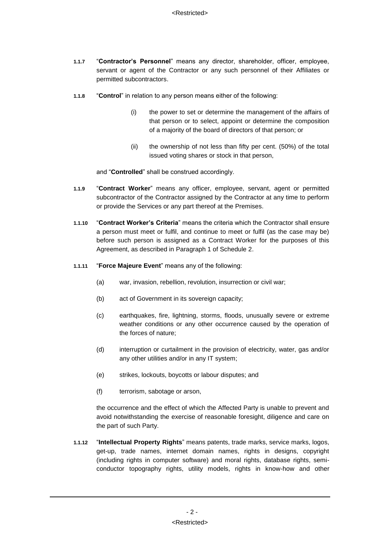- **1.1.7** "**Contractor's Personnel**" means any director, shareholder, officer, employee, servant or agent of the Contractor or any such personnel of their Affiliates or permitted subcontractors.
- **1.1.8** "**Control**" in relation to any person means either of the following:
	- (i) the power to set or determine the management of the affairs of that person or to select, appoint or determine the composition of a majority of the board of directors of that person; or
	- (ii) the ownership of not less than fifty per cent. (50%) of the total issued voting shares or stock in that person,

and "**Controlled**" shall be construed accordingly.

- **1.1.9** "**Contract Worker**" means any officer, employee, servant, agent or permitted subcontractor of the Contractor assigned by the Contractor at any time to perform or provide the Services or any part thereof at the Premises.
- **1.1.10** "**Contract Worker's Criteria**" means the criteria which the Contractor shall ensure a person must meet or fulfil, and continue to meet or fulfil (as the case may be) before such person is assigned as a Contract Worker for the purposes of this Agreement, as described in Paragraph [1](#page-27-0) of [Schedule 2.](#page-27-1)
- **1.1.11** "**Force Majeure Event**" means any of the following:
	- (a) war, invasion, rebellion, revolution, insurrection or civil war;
	- (b) act of Government in its sovereign capacity;
	- (c) earthquakes, fire, lightning, storms, floods, unusually severe or extreme weather conditions or any other occurrence caused by the operation of the forces of nature;
	- (d) interruption or curtailment in the provision of electricity, water, gas and/or any other utilities and/or in any IT system;
	- (e) strikes, lockouts, boycotts or labour disputes; and
	- (f) terrorism, sabotage or arson,

the occurrence and the effect of which the Affected Party is unable to prevent and avoid notwithstanding the exercise of reasonable foresight, diligence and care on the part of such Party.

**1.1.12** "**Intellectual Property Rights**" means patents, trade marks, service marks, logos, get-up, trade names, internet domain names, rights in designs, copyright (including rights in computer software) and moral rights, database rights, semiconductor topography rights, utility models, rights in know-how and other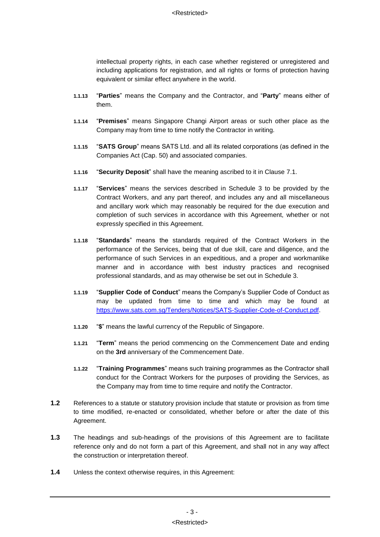intellectual property rights, in each case whether registered or unregistered and including applications for registration, and all rights or forms of protection having equivalent or similar effect anywhere in the world.

- **1.1.13** "**Parties**" means the Company and the Contractor, and "**Party**" means either of them.
- **1.1.14** "**Premises**" means Singapore Changi Airport areas or such other place as the Company may from time to time notify the Contractor in writing.
- **1.1.15** "**SATS Group**" means SATS Ltd. and all its related corporations (as defined in the Companies Act (Cap. 50) and associated companies.
- **1.1.16** "**Security Deposit**" shall have the meaning ascribed to it in Clause [7.1.](#page-10-0)
- **1.1.17** "**Services**" means the services described in [Schedule 3](#page-30-0) to be provided by the Contract Workers, and any part thereof, and includes any and all miscellaneous and ancillary work which may reasonably be required for the due execution and completion of such services in accordance with this Agreement, whether or not expressly specified in this Agreement.
- **1.1.18** "**Standards**" means the standards required of the Contract Workers in the performance of the Services, being that of due skill, care and diligence, and the performance of such Services in an expeditious, and a proper and workmanlike manner and in accordance with best industry practices and recognised professional standards, and as may otherwise be set out in [Schedule 3.](#page-30-0)
- **1.1.19** "**Supplier Code of Conduct**" means the Company's Supplier Code of Conduct as may be updated from time to time and which may be found at [https://www.sats.com.sg/Tenders/Notices/SATS-Supplier-Code-of-Conduct.pdf.](https://www.sats.com.sg/Tenders/Notices/SATS-Supplier-Code-of-Conduct.pdf)
- **1.1.20** "**\$**" means the lawful currency of the Republic of Singapore.
- **1.1.21** "**Term**" means the period commencing on the Commencement Date and ending on the **3rd** anniversary of the Commencement Date.
- **1.1.22** "**Training Programmes**" means such training programmes as the Contractor shall conduct for the Contract Workers for the purposes of providing the Services, as the Company may from time to time require and notify the Contractor.
- **1.2** References to a statute or statutory provision include that statute or provision as from time to time modified, re-enacted or consolidated, whether before or after the date of this Agreement.
- **1.3** The headings and sub-headings of the provisions of this Agreement are to facilitate reference only and do not form a part of this Agreement, and shall not in any way affect the construction or interpretation thereof.
- **1.4** Unless the context otherwise requires, in this Agreement: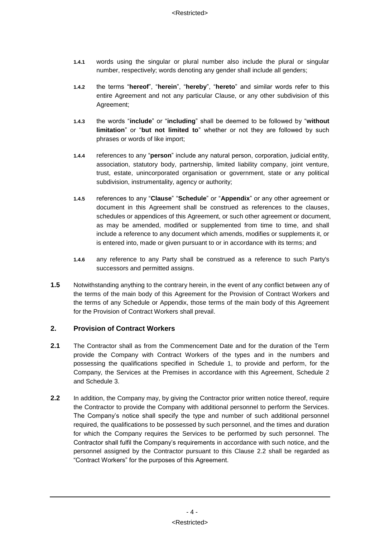- **1.4.1** words using the singular or plural number also include the plural or singular number, respectively; words denoting any gender shall include all genders;
- **1.4.2** the terms "**hereof**", "**herein**", "**hereby**", "**hereto**" and similar words refer to this entire Agreement and not any particular Clause, or any other subdivision of this Agreement;
- **1.4.3** the words "**include**" or "**including**" shall be deemed to be followed by "**without limitation**" or "**but not limited to**" whether or not they are followed by such phrases or words of like import;
- **1.4.4** references to any "**person**" include any natural person, corporation, judicial entity, association, statutory body, partnership, limited liability company, joint venture, trust, estate, unincorporated organisation or government, state or any political subdivision, instrumentality, agency or authority;
- **1.4.5** references to any "**Clause**" "**Schedule**" or "**Appendix**" or any other agreement or document in this Agreement shall be construed as references to the clauses, schedules or appendices of this Agreement, or such other agreement or document, as may be amended, modified or supplemented from time to time, and shall include a reference to any document which amends, modifies or supplements it, or is entered into, made or given pursuant to or in accordance with its terms; and
- **1.4.6** any reference to any Party shall be construed as a reference to such Party's successors and permitted assigns.
- **1.5** Notwithstanding anything to the contrary herein, in the event of any conflict between any of the terms of the main body of this Agreement for the Provision of Contract Workers and the terms of any Schedule or Appendix, those terms of the main body of this Agreement for the Provision of Contract Workers shall prevail.

# **2. Provision of Contract Workers**

- **2.1** The Contractor shall as from the Commencement Date and for the duration of the Term provide the Company with Contract Workers of the types and in the numbers and possessing the qualifications specified in [Schedule 1,](#page-26-0) to provide and perform, for the Company, the Services at the Premises in accordance with this Agreement, [Schedule 2](#page-27-1) and [Schedule 3.](#page-30-0)
- <span id="page-6-0"></span>**2.2** In addition, the Company may, by giving the Contractor prior written notice thereof, require the Contractor to provide the Company with additional personnel to perform the Services. The Company's notice shall specify the type and number of such additional personnel required, the qualifications to be possessed by such personnel, and the times and duration for which the Company requires the Services to be performed by such personnel. The Contractor shall fulfil the Company's requirements in accordance with such notice, and the personnel assigned by the Contractor pursuant to this Clause [2.2](#page-6-0) shall be regarded as "Contract Workers" for the purposes of this Agreement.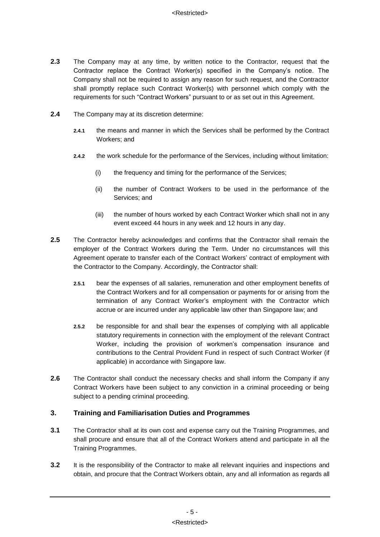- **2.3** The Company may at any time, by written notice to the Contractor, request that the Contractor replace the Contract Worker(s) specified in the Company's notice. The Company shall not be required to assign any reason for such request, and the Contractor shall promptly replace such Contract Worker(s) with personnel which comply with the requirements for such "Contract Workers" pursuant to or as set out in this Agreement.
- **2.4** The Company may at its discretion determine:
	- **2.4.1** the means and manner in which the Services shall be performed by the Contract Workers; and
	- **2.4.2** the work schedule for the performance of the Services, including without limitation:
		- (i) the frequency and timing for the performance of the Services;
		- (ii) the number of Contract Workers to be used in the performance of the Services; and
		- (iii) the number of hours worked by each Contract Worker which shall not in any event exceed 44 hours in any week and 12 hours in any day.
- **2.5** The Contractor hereby acknowledges and confirms that the Contractor shall remain the employer of the Contract Workers during the Term. Under no circumstances will this Agreement operate to transfer each of the Contract Workers' contract of employment with the Contractor to the Company. Accordingly, the Contractor shall:
	- **2.5.1** bear the expenses of all salaries, remuneration and other employment benefits of the Contract Workers and for all compensation or payments for or arising from the termination of any Contract Worker's employment with the Contractor which accrue or are incurred under any applicable law other than Singapore law; and
	- **2.5.2** be responsible for and shall bear the expenses of complying with all applicable statutory requirements in connection with the employment of the relevant Contract Worker, including the provision of workmen's compensation insurance and contributions to the Central Provident Fund in respect of such Contract Worker (if applicable) in accordance with Singapore law.
- **2.6** The Contractor shall conduct the necessary checks and shall inform the Company if any Contract Workers have been subject to any conviction in a criminal proceeding or being subject to a pending criminal proceeding.

# **3. Training and Familiarisation Duties and Programmes**

- **3.1** The Contractor shall at its own cost and expense carry out the Training Programmes, and shall procure and ensure that all of the Contract Workers attend and participate in all the Training Programmes.
- **3.2** It is the responsibility of the Contractor to make all relevant inquiries and inspections and obtain, and procure that the Contract Workers obtain, any and all information as regards all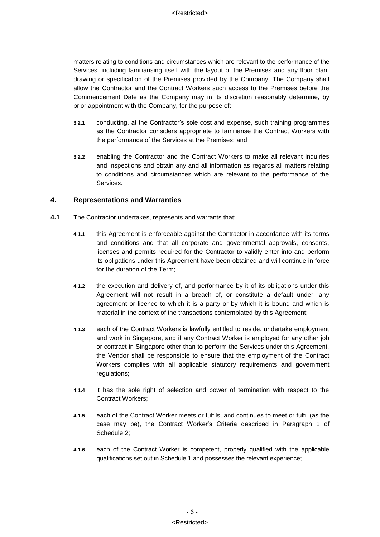matters relating to conditions and circumstances which are relevant to the performance of the Services, including familiarising itself with the layout of the Premises and any floor plan, drawing or specification of the Premises provided by the Company. The Company shall allow the Contractor and the Contract Workers such access to the Premises before the Commencement Date as the Company may in its discretion reasonably determine, by prior appointment with the Company, for the purpose of:

- **3.2.1** conducting, at the Contractor's sole cost and expense, such training programmes as the Contractor considers appropriate to familiarise the Contract Workers with the performance of the Services at the Premises; and
- **3.2.2** enabling the Contractor and the Contract Workers to make all relevant inquiries and inspections and obtain any and all information as regards all matters relating to conditions and circumstances which are relevant to the performance of the Services.

# **4. Representations and Warranties**

- <span id="page-8-0"></span>**4.1** The Contractor undertakes, represents and warrants that:
	- **4.1.1** this Agreement is enforceable against the Contractor in accordance with its terms and conditions and that all corporate and governmental approvals, consents, licenses and permits required for the Contractor to validly enter into and perform its obligations under this Agreement have been obtained and will continue in force for the duration of the Term;
	- **4.1.2** the execution and delivery of, and performance by it of its obligations under this Agreement will not result in a breach of, or constitute a default under, any agreement or licence to which it is a party or by which it is bound and which is material in the context of the transactions contemplated by this Agreement;
	- **4.1.3** each of the Contract Workers is lawfully entitled to reside, undertake employment and work in Singapore, and if any Contract Worker is employed for any other job or contract in Singapore other than to perform the Services under this Agreement, the Vendor shall be responsible to ensure that the employment of the Contract Workers complies with all applicable statutory requirements and government regulations;
	- **4.1.4** it has the sole right of selection and power of termination with respect to the Contract Workers;
	- **4.1.5** each of the Contract Worker meets or fulfils, and continues to meet or fulfil (as the case may be), the Contract Worker's Criteria described in Paragraph [1](#page-27-0) of [Schedule 2;](#page-27-1)
	- **4.1.6** each of the Contract Worker is competent, properly qualified with the applicable qualifications set out in [Schedule 1](#page-26-0) and possesses the relevant experience;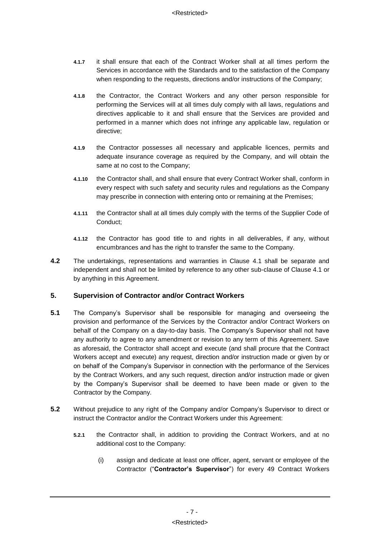- **4.1.7** it shall ensure that each of the Contract Worker shall at all times perform the Services in accordance with the Standards and to the satisfaction of the Company when responding to the requests, directions and/or instructions of the Company;
- **4.1.8** the Contractor, the Contract Workers and any other person responsible for performing the Services will at all times duly comply with all laws, regulations and directives applicable to it and shall ensure that the Services are provided and performed in a manner which does not infringe any applicable law, regulation or directive;
- **4.1.9** the Contractor possesses all necessary and applicable licences, permits and adequate insurance coverage as required by the Company, and will obtain the same at no cost to the Company;
- **4.1.10** the Contractor shall, and shall ensure that every Contract Worker shall, conform in every respect with such safety and security rules and regulations as the Company may prescribe in connection with entering onto or remaining at the Premises;
- **4.1.11** the Contractor shall at all times duly comply with the terms of the Supplier Code of Conduct;
- **4.1.12** the Contractor has good title to and rights in all deliverables, if any, without encumbrances and has the right to transfer the same to the Company.
- **4.2** The undertakings, representations and warranties in Clause [4.1](#page-8-0) shall be separate and independent and shall not be limited by reference to any other sub-clause of Clause [4.1](#page-8-0) or by anything in this Agreement.

# **5. Supervision of Contractor and/or Contract Workers**

- <span id="page-9-1"></span>**5.1** The Company's Supervisor shall be responsible for managing and overseeing the provision and performance of the Services by the Contractor and/or Contract Workers on behalf of the Company on a day-to-day basis. The Company's Supervisor shall not have any authority to agree to any amendment or revision to any term of this Agreement. Save as aforesaid, the Contractor shall accept and execute (and shall procure that the Contract Workers accept and execute) any request, direction and/or instruction made or given by or on behalf of the Company's Supervisor in connection with the performance of the Services by the Contract Workers, and any such request, direction and/or instruction made or given by the Company's Supervisor shall be deemed to have been made or given to the Contractor by the Company.
- <span id="page-9-0"></span>**5.2** Without prejudice to any right of the Company and/or Company's Supervisor to direct or instruct the Contractor and/or the Contract Workers under this Agreement:
	- **5.2.1** the Contractor shall, in addition to providing the Contract Workers, and at no additional cost to the Company:
		- (i) assign and dedicate at least one officer, agent, servant or employee of the Contractor ("**Contractor's Supervisor**") for every 49 Contract Workers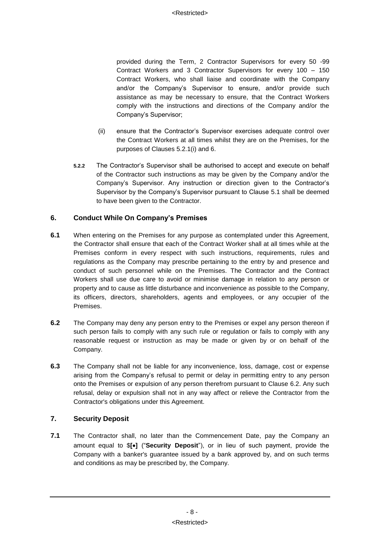provided during the Term, 2 Contractor Supervisors for every 50 -99 Contract Workers and 3 Contractor Supervisors for every 100 – 150 Contract Workers, who shall liaise and coordinate with the Company and/or the Company's Supervisor to ensure, and/or provide such assistance as may be necessary to ensure, that the Contract Workers comply with the instructions and directions of the Company and/or the Company's Supervisor;

- (ii) ensure that the Contractor's Supervisor exercises adequate control over the Contract Workers at all times whilst they are on the Premises, for the purposes of Clauses [5.2.1\(i\)](#page-9-0) and [6.](#page-10-1)
- **5.2.2** The Contractor's Supervisor shall be authorised to accept and execute on behalf of the Contractor such instructions as may be given by the Company and/or the Company's Supervisor. Any instruction or direction given to the Contractor's Supervisor by the Company's Supervisor pursuant to Clause [5.1](#page-9-1) shall be deemed to have been given to the Contractor.

# <span id="page-10-1"></span>**6. Conduct While On Company's Premises**

- **6.1** When entering on the Premises for any purpose as contemplated under this Agreement, the Contractor shall ensure that each of the Contract Worker shall at all times while at the Premises conform in every respect with such instructions, requirements, rules and regulations as the Company may prescribe pertaining to the entry by and presence and conduct of such personnel while on the Premises. The Contractor and the Contract Workers shall use due care to avoid or minimise damage in relation to any person or property and to cause as little disturbance and inconvenience as possible to the Company, its officers, directors, shareholders, agents and employees, or any occupier of the Premises.
- <span id="page-10-2"></span>**6.2** The Company may deny any person entry to the Premises or expel any person thereon if such person fails to comply with any such rule or regulation or fails to comply with any reasonable request or instruction as may be made or given by or on behalf of the Company.
- **6.3** The Company shall not be liable for any inconvenience, loss, damage, cost or expense arising from the Company's refusal to permit or delay in permitting entry to any person onto the Premises or expulsion of any person therefrom pursuant to Clause [6.2.](#page-10-2) Any such refusal, delay or expulsion shall not in any way affect or relieve the Contractor from the Contractor's obligations under this Agreement.

# **7. Security Deposit**

<span id="page-10-0"></span>**7.1** The Contractor shall, no later than the Commencement Date, pay the Company an amount equal to \$**[]** ("**Security Deposit**"), or in lieu of such payment, provide the Company with a banker's guarantee issued by a bank approved by, and on such terms and conditions as may be prescribed by, the Company.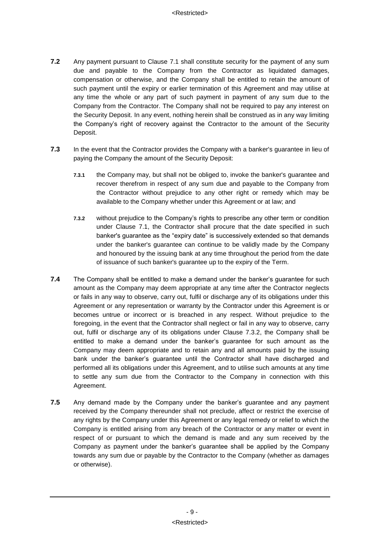- **7.2** Any payment pursuant to Clause [7.1](#page-10-0) shall constitute security for the payment of any sum due and payable to the Company from the Contractor as liquidated damages, compensation or otherwise, and the Company shall be entitled to retain the amount of such payment until the expiry or earlier termination of this Agreement and may utilise at any time the whole or any part of such payment in payment of any sum due to the Company from the Contractor. The Company shall not be required to pay any interest on the Security Deposit. In any event, nothing herein shall be construed as in any way limiting the Company's right of recovery against the Contractor to the amount of the Security Deposit.
- **7.3** In the event that the Contractor provides the Company with a banker's guarantee in lieu of paying the Company the amount of the Security Deposit:
	- **7.3.1** the Company may, but shall not be obliged to, invoke the banker's guarantee and recover therefrom in respect of any sum due and payable to the Company from the Contractor without prejudice to any other right or remedy which may be available to the Company whether under this Agreement or at law; and
	- **7.3.2** without prejudice to the Company's rights to prescribe any other term or condition under Clause [7.1,](#page-10-0) the Contractor shall procure that the date specified in such banker's guarantee as the "expiry date" is successively extended so that demands under the banker's guarantee can continue to be validly made by the Company and honoured by the issuing bank at any time throughout the period from the date of issuance of such banker's guarantee up to the expiry of the Term.
- **7.4** The Company shall be entitled to make a demand under the banker's quarantee for such amount as the Company may deem appropriate at any time after the Contractor neglects or fails in any way to observe, carry out, fulfil or discharge any of its obligations under this Agreement or any representation or warranty by the Contractor under this Agreement is or becomes untrue or incorrect or is breached in any respect. Without prejudice to the foregoing, in the event that the Contractor shall neglect or fail in any way to observe, carry out, fulfil or discharge any of its obligations under Clause 7.3.2, the Company shall be entitled to make a demand under the banker's guarantee for such amount as the Company may deem appropriate and to retain any and all amounts paid by the issuing bank under the banker's guarantee until the Contractor shall have discharged and performed all its obligations under this Agreement, and to utilise such amounts at any time to settle any sum due from the Contractor to the Company in connection with this Agreement.
- **7.5** Any demand made by the Company under the banker's guarantee and any payment received by the Company thereunder shall not preclude, affect or restrict the exercise of any rights by the Company under this Agreement or any legal remedy or relief to which the Company is entitled arising from any breach of the Contractor or any matter or event in respect of or pursuant to which the demand is made and any sum received by the Company as payment under the banker's guarantee shall be applied by the Company towards any sum due or payable by the Contractor to the Company (whether as damages or otherwise).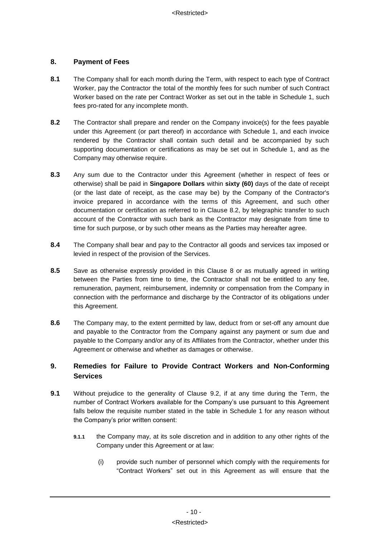# <span id="page-12-1"></span>**8. Payment of Fees**

- **8.1** The Company shall for each month during the Term, with respect to each type of Contract Worker, pay the Contractor the total of the monthly fees for such number of such Contract Worker based on the rate per Contract Worker as set out in the table in [Schedule 1,](#page-26-0) such fees pro-rated for any incomplete month.
- <span id="page-12-0"></span>**8.2** The Contractor shall prepare and render on the Company invoice(s) for the fees payable under this Agreement (or part thereof) in accordance with [Schedule 1,](#page-26-0) and each invoice rendered by the Contractor shall contain such detail and be accompanied by such supporting documentation or certifications as may be set out in [Schedule 1,](#page-26-0) and as the Company may otherwise require.
- **8.3** Any sum due to the Contractor under this Agreement (whether in respect of fees or otherwise) shall be paid in **Singapore Dollars** within **sixty (60)** days of the date of receipt (or the last date of receipt, as the case may be) by the Company of the Contractor's invoice prepared in accordance with the terms of this Agreement, and such other documentation or certification as referred to in Clause [8.2,](#page-12-0) by telegraphic transfer to such account of the Contractor with such bank as the Contractor may designate from time to time for such purpose, or by such other means as the Parties may hereafter agree.
- **8.4** The Company shall bear and pay to the Contractor all goods and services tax imposed or levied in respect of the provision of the Services.
- **8.5** Save as otherwise expressly provided in this Clause [8](#page-12-1) or as mutually agreed in writing between the Parties from time to time, the Contractor shall not be entitled to any fee, remuneration, payment, reimbursement, indemnity or compensation from the Company in connection with the performance and discharge by the Contractor of its obligations under this Agreement.
- <span id="page-12-3"></span>**8.6** The Company may, to the extent permitted by law, deduct from or set-off any amount due and payable to the Contractor from the Company against any payment or sum due and payable to the Company and/or any of its Affiliates from the Contractor, whether under this Agreement or otherwise and whether as damages or otherwise.

# **9. Remedies for Failure to Provide Contract Workers and Non-Conforming Services**

- <span id="page-12-2"></span>**9.1** Without prejudice to the generality of Clause [9.2,](#page-13-0) if at any time during the Term, the number of Contract Workers available for the Company's use pursuant to this Agreement falls below the requisite number stated in the table in [Schedule 1](#page-26-0) for any reason without the Company's prior written consent:
	- **9.1.1** the Company may, at its sole discretion and in addition to any other rights of the Company under this Agreement or at law:
		- (i) provide such number of personnel which comply with the requirements for "Contract Workers" set out in this Agreement as will ensure that the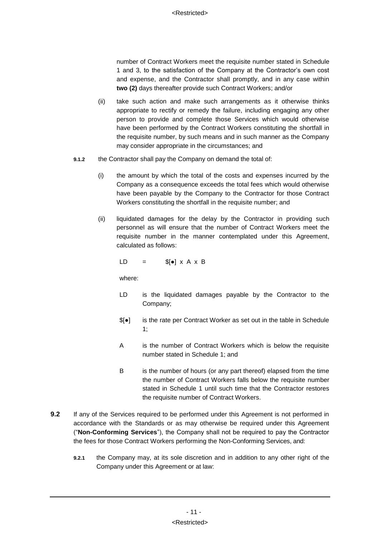number of Contract Workers meet the requisite number stated in [Schedule](#page-26-0)  [1](#page-26-0) and 3, to the satisfaction of the Company at the Contractor's own cost and expense, and the Contractor shall promptly, and in any case within **two (2)** days thereafter provide such Contract Workers; and/or

- (ii) take such action and make such arrangements as it otherwise thinks appropriate to rectify or remedy the failure, including engaging any other person to provide and complete those Services which would otherwise have been performed by the Contract Workers constituting the shortfall in the requisite number, by such means and in such manner as the Company may consider appropriate in the circumstances; and
- <span id="page-13-1"></span>**9.1.2** the Contractor shall pay the Company on demand the total of:
	- (i) the amount by which the total of the costs and expenses incurred by the Company as a consequence exceeds the total fees which would otherwise have been payable by the Company to the Contractor for those Contract Workers constituting the shortfall in the requisite number; and
	- (ii) liquidated damages for the delay by the Contractor in providing such personnel as will ensure that the number of Contract Workers meet the requisite number in the manner contemplated under this Agreement, calculated as follows:

 $LD = S[\bullet] \times A \times B$ 

where:

- LD is the liquidated damages payable by the Contractor to the Company;
- \$[●] is the rate per Contract Worker as set out in the table in Schedule 1;
- A is the number of Contract Workers which is below the requisite number stated in [Schedule 1;](#page-26-0) and
- B is the number of hours (or any part thereof) elapsed from the time the number of Contract Workers falls below the requisite number stated in [Schedule 1](#page-26-0) until such time that the Contractor restores the requisite number of Contract Workers.
- <span id="page-13-0"></span>**9.2** If any of the Services required to be performed under this Agreement is not performed in accordance with the Standards or as may otherwise be required under this Agreement ("**Non-Conforming Services**"), the Company shall not be required to pay the Contractor the fees for those Contract Workers performing the Non-Conforming Services, and:
	- **9.2.1** the Company may, at its sole discretion and in addition to any other right of the Company under this Agreement or at law: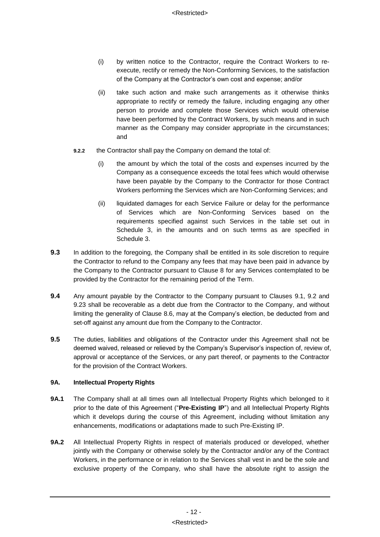- (i) by written notice to the Contractor, require the Contract Workers to reexecute, rectify or remedy the Non-Conforming Services, to the satisfaction of the Company at the Contractor's own cost and expense; and/or
- (ii) take such action and make such arrangements as it otherwise thinks appropriate to rectify or remedy the failure, including engaging any other person to provide and complete those Services which would otherwise have been performed by the Contract Workers, by such means and in such manner as the Company may consider appropriate in the circumstances; and
- **9.2.2** the Contractor shall pay the Company on demand the total of:
	- (i) the amount by which the total of the costs and expenses incurred by the Company as a consequence exceeds the total fees which would otherwise have been payable by the Company to the Contractor for those Contract Workers performing the Services which are Non-Conforming Services; and
	- (ii) liquidated damages for each Service Failure or delay for the performance of Services which are Non-Conforming Services based on the requirements specified against such Services in the table set out in [Schedule 3,](#page-30-0) in the amounts and on such terms as are specified in [Schedule 3.](#page-30-0)
- **9.3** In addition to the foregoing, the Company shall be entitled in its sole discretion to require the Contractor to refund to the Company any fees that may have been paid in advance by the Company to the Contractor pursuant to Clause 8 for any Services contemplated to be provided by the Contractor for the remaining period of the Term.
- **9.4** Any amount payable by the Contractor to the Company pursuant to Clauses [9.1,](#page-12-2) 9.2 and [9.23](#page-13-0) shall be recoverable as a debt due from the Contractor to the Company, and without limiting the generality of Clause [8.6,](#page-12-3) may at the Company's election, be deducted from and set-off against any amount due from the Company to the Contractor.
- **9.5** The duties, liabilities and obligations of the Contractor under this Agreement shall not be deemed waived, released or relieved by the Company's Supervisor's inspection of, review of, approval or acceptance of the Services, or any part thereof, or payments to the Contractor for the provision of the Contract Workers.

# **9A. Intellectual Property Rights**

- **9A.1** The Company shall at all times own all Intellectual Property Rights which belonged to it prior to the date of this Agreement ("**Pre-Existing IP**") and all Intellectual Property Rights which it develops during the course of this Agreement, including without limitation any enhancements, modifications or adaptations made to such Pre-Existing IP.
- **9A.2** All Intellectual Property Rights in respect of materials produced or developed, whether jointly with the Company or otherwise solely by the Contractor and/or any of the Contract Workers, in the performance or in relation to the Services shall vest in and be the sole and exclusive property of the Company, who shall have the absolute right to assign the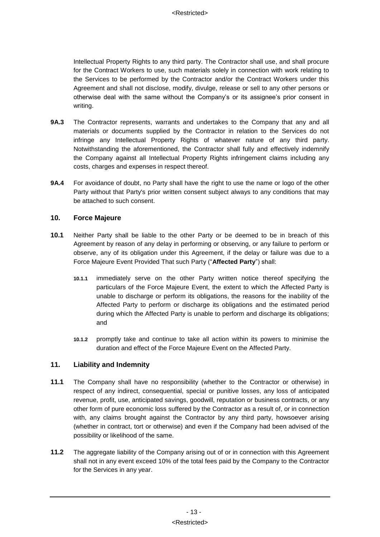Intellectual Property Rights to any third party. The Contractor shall use, and shall procure for the Contract Workers to use, such materials solely in connection with work relating to the Services to be performed by the Contractor and/or the Contract Workers under this Agreement and shall not disclose, modify, divulge, release or sell to any other persons or otherwise deal with the same without the Company's or its assignee's prior consent in writing.

- **9A.3** The Contractor represents, warrants and undertakes to the Company that any and all materials or documents supplied by the Contractor in relation to the Services do not infringe any Intellectual Property Rights of whatever nature of any third party. Notwithstanding the aforementioned, the Contractor shall fully and effectively indemnify the Company against all Intellectual Property Rights infringement claims including any costs, charges and expenses in respect thereof.
- **9A.4** For avoidance of doubt, no Party shall have the right to use the name or logo of the other Party without that Party's prior written consent subject always to any conditions that may be attached to such consent.

# **10. Force Majeure**

- <span id="page-15-0"></span>**10.1** Neither Party shall be liable to the other Party or be deemed to be in breach of this Agreement by reason of any delay in performing or observing, or any failure to perform or observe, any of its obligation under this Agreement, if the delay or failure was due to a Force Majeure Event Provided That such Party ("**Affected Party**") shall:
	- **10.1.1** immediately serve on the other Party written notice thereof specifying the particulars of the Force Majeure Event, the extent to which the Affected Party is unable to discharge or perform its obligations, the reasons for the inability of the Affected Party to perform or discharge its obligations and the estimated period during which the Affected Party is unable to perform and discharge its obligations; and
	- **10.1.2** promptly take and continue to take all action within its powers to minimise the duration and effect of the Force Majeure Event on the Affected Party.

# <span id="page-15-1"></span>**11. Liability and Indemnity**

- **11.1** The Company shall have no responsibility (whether to the Contractor or otherwise) in respect of any indirect, consequential, special or punitive losses, any loss of anticipated revenue, profit, use, anticipated savings, goodwill, reputation or business contracts, or any other form of pure economic loss suffered by the Contractor as a result of, or in connection with, any claims brought against the Contractor by any third party, howsoever arising (whether in contract, tort or otherwise) and even if the Company had been advised of the possibility or likelihood of the same.
- **11.2** The aggregate liability of the Company arising out of or in connection with this Agreement shall not in any event exceed 10% of the total fees paid by the Company to the Contractor for the Services in any year.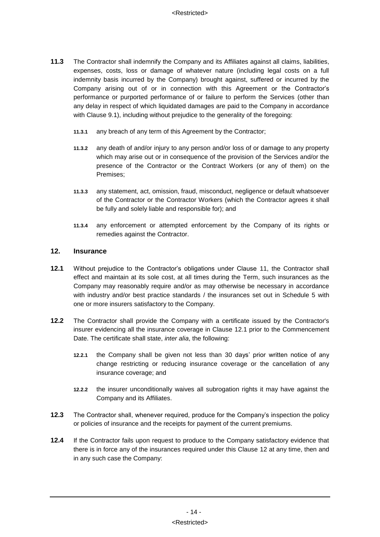- <span id="page-16-2"></span>**11.3** The Contractor shall indemnify the Company and its Affiliates against all claims, liabilities, expenses, costs, loss or damage of whatever nature (including legal costs on a full indemnity basis incurred by the Company) brought against, suffered or incurred by the Company arising out of or in connection with this Agreement or the Contractor's performance or purported performance of or failure to perform the Services (other than any delay in respect of which liquidated damages are paid to the Company in accordance with Clause [9.1\)](#page-12-2), including without prejudice to the generality of the foregoing:
	- **11.3.1** any breach of any term of this Agreement by the Contractor;
	- **11.3.2** any death of and/or injury to any person and/or loss of or damage to any property which may arise out or in consequence of the provision of the Services and/or the presence of the Contractor or the Contract Workers (or any of them) on the Premises;
	- **11.3.3** any statement, act, omission, fraud, misconduct, negligence or default whatsoever of the Contractor or the Contractor Workers (which the Contractor agrees it shall be fully and solely liable and responsible for); and
	- **11.3.4** any enforcement or attempted enforcement by the Company of its rights or remedies against the Contractor.

#### <span id="page-16-1"></span>**12. Insurance**

- <span id="page-16-0"></span>**12.1** Without prejudice to the Contractor's obligations under Clause [11,](#page-15-1) the Contractor shall effect and maintain at its sole cost, at all times during the Term, such insurances as the Company may reasonably require and/or as may otherwise be necessary in accordance with industry and/or best practice standards / the insurances set out in [Schedule 5](#page-36-0) with one or more insurers satisfactory to the Company.
- **12.2** The Contractor shall provide the Company with a certificate issued by the Contractor's insurer evidencing all the insurance coverage in Clause [12.1](#page-16-0) prior to the Commencement Date. The certificate shall state, *inter alia*, the following:
	- **12.2.1** the Company shall be given not less than 30 days' prior written notice of any change restricting or reducing insurance coverage or the cancellation of any insurance coverage; and
	- **12.2.2** the insurer unconditionally waives all subrogation rights it may have against the Company and its Affiliates.
- **12.3** The Contractor shall, whenever required, produce for the Company's inspection the policy or policies of insurance and the receipts for payment of the current premiums.
- **12.4** If the Contractor fails upon request to produce to the Company satisfactory evidence that there is in force any of the insurances required under this Clause [12](#page-16-1) at any time, then and in any such case the Company: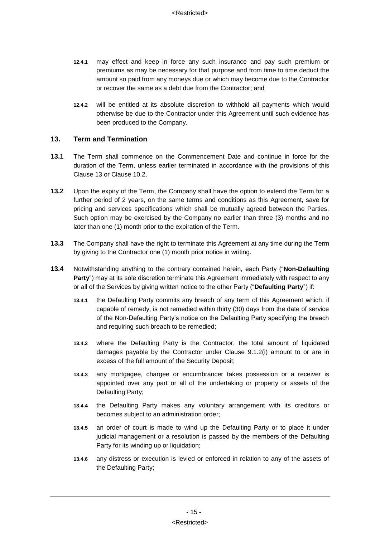- **12.4.1** may effect and keep in force any such insurance and pay such premium or premiums as may be necessary for that purpose and from time to time deduct the amount so paid from any moneys due or which may become due to the Contractor or recover the same as a debt due from the Contractor; and
- **12.4.2** will be entitled at its absolute discretion to withhold all payments which would otherwise be due to the Contractor under this Agreement until such evidence has been produced to the Company.

# <span id="page-17-0"></span>**13. Term and Termination**

- **13.1** The Term shall commence on the Commencement Date and continue in force for the duration of the Term, unless earlier terminated in accordance with the provisions of this Clause 13 or Clause 10.2.
- **13.2** Upon the expiry of the Term, the Company shall have the option to extend the Term for a further period of 2 years, on the same terms and conditions as this Agreement, save for pricing and services specifications which shall be mutually agreed between the Parties. Such option may be exercised by the Company no earlier than three (3) months and no later than one (1) month prior to the expiration of the Term.
- **13.3** The Company shall have the right to terminate this Agreement at any time during the Term by giving to the Contractor one (1) month prior notice in writing.
- **13.4** Notwithstanding anything to the contrary contained herein, each Party ("**Non-Defaulting Party**") may at its sole discretion terminate this Agreement immediately with respect to any or all of the Services by giving written notice to the other Party ("**Defaulting Party**") if:
	- **13.4.1** the Defaulting Party commits any breach of any term of this Agreement which, if capable of remedy, is not remedied within thirty (30) days from the date of service of the Non-Defaulting Party's notice on the Defaulting Party specifying the breach and requiring such breach to be remedied;
	- **13.4.2** where the Defaulting Party is the Contractor, the total amount of liquidated damages payable by the Contractor under Clause [9.1.2\(i\)](#page-13-1) amount to or are in excess of the full amount of the Security Deposit;
	- **13.4.3** any mortgagee, chargee or encumbrancer takes possession or a receiver is appointed over any part or all of the undertaking or property or assets of the Defaulting Party;
	- **13.4.4** the Defaulting Party makes any voluntary arrangement with its creditors or becomes subject to an administration order;
	- **13.4.5** an order of court is made to wind up the Defaulting Party or to place it under judicial management or a resolution is passed by the members of the Defaulting Party for its winding up or liquidation;
	- **13.4.6** any distress or execution is levied or enforced in relation to any of the assets of the Defaulting Party;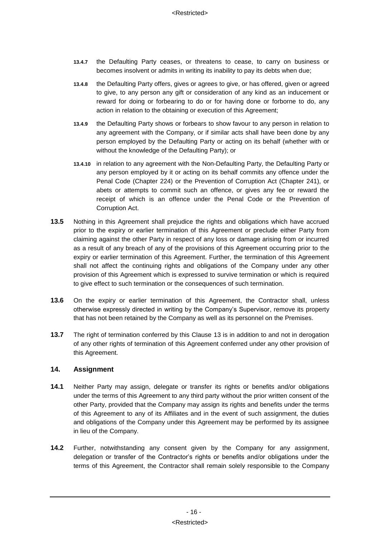- **13.4.7** the Defaulting Party ceases, or threatens to cease, to carry on business or becomes insolvent or admits in writing its inability to pay its debts when due;
- **13.4.8** the Defaulting Party offers, gives or agrees to give, or has offered, given or agreed to give, to any person any gift or consideration of any kind as an inducement or reward for doing or forbearing to do or for having done or forborne to do, any action in relation to the obtaining or execution of this Agreement;
- **13.4.9** the Defaulting Party shows or forbears to show favour to any person in relation to any agreement with the Company, or if similar acts shall have been done by any person employed by the Defaulting Party or acting on its behalf (whether with or without the knowledge of the Defaulting Party); or
- **13.4.10** in relation to any agreement with the Non-Defaulting Party, the Defaulting Party or any person employed by it or acting on its behalf commits any offence under the Penal Code (Chapter 224) or the Prevention of Corruption Act (Chapter 241), or abets or attempts to commit such an offence, or gives any fee or reward the receipt of which is an offence under the Penal Code or the Prevention of Corruption Act.
- **13.5** Nothing in this Agreement shall prejudice the rights and obligations which have accrued prior to the expiry or earlier termination of this Agreement or preclude either Party from claiming against the other Party in respect of any loss or damage arising from or incurred as a result of any breach of any of the provisions of this Agreement occurring prior to the expiry or earlier termination of this Agreement. Further, the termination of this Agreement shall not affect the continuing rights and obligations of the Company under any other provision of this Agreement which is expressed to survive termination or which is required to give effect to such termination or the consequences of such termination.
- **13.6** On the expiry or earlier termination of this Agreement, the Contractor shall, unless otherwise expressly directed in writing by the Company's Supervisor, remove its property that has not been retained by the Company as well as its personnel on the Premises.
- **13.7** The right of termination conferred by this Clause [13](#page-17-0) is in addition to and not in derogation of any other rights of termination of this Agreement conferred under any other provision of this Agreement.

# **14. Assignment**

- **14.1** Neither Party may assign, delegate or transfer its rights or benefits and/or obligations under the terms of this Agreement to any third party without the prior written consent of the other Party, provided that the Company may assign its rights and benefits under the terms of this Agreement to any of its Affiliates and in the event of such assignment, the duties and obligations of the Company under this Agreement may be performed by its assignee in lieu of the Company.
- **14.2** Further, notwithstanding any consent given by the Company for any assignment, delegation or transfer of the Contractor's rights or benefits and/or obligations under the terms of this Agreement, the Contractor shall remain solely responsible to the Company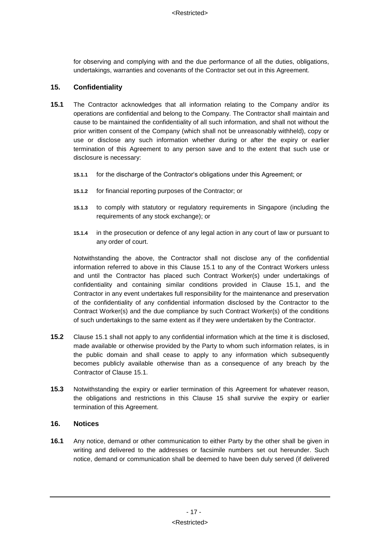for observing and complying with and the due performance of all the duties, obligations, undertakings, warranties and covenants of the Contractor set out in this Agreement.

# <span id="page-19-1"></span>**15. Confidentiality**

- <span id="page-19-0"></span>**15.1** The Contractor acknowledges that all information relating to the Company and/or its operations are confidential and belong to the Company. The Contractor shall maintain and cause to be maintained the confidentiality of all such information, and shall not without the prior written consent of the Company (which shall not be unreasonably withheld), copy or use or disclose any such information whether during or after the expiry or earlier termination of this Agreement to any person save and to the extent that such use or disclosure is necessary:
	- **15.1.1** for the discharge of the Contractor's obligations under this Agreement; or
	- **15.1.2** for financial reporting purposes of the Contractor; or
	- **15.1.3** to comply with statutory or regulatory requirements in Singapore (including the requirements of any stock exchange); or
	- **15.1.4** in the prosecution or defence of any legal action in any court of law or pursuant to any order of court.

Notwithstanding the above, the Contractor shall not disclose any of the confidential information referred to above in this Clause [15.1](#page-19-0) to any of the Contract Workers unless and until the Contractor has placed such Contract Worker(s) under undertakings of confidentiality and containing similar conditions provided in Clause [15.1,](#page-19-0) and the Contractor in any event undertakes full responsibility for the maintenance and preservation of the confidentiality of any confidential information disclosed by the Contractor to the Contract Worker(s) and the due compliance by such Contract Worker(s) of the conditions of such undertakings to the same extent as if they were undertaken by the Contractor.

- **15.2** Clause [15.1](#page-19-0) shall not apply to any confidential information which at the time it is disclosed, made available or otherwise provided by the Party to whom such information relates, is in the public domain and shall cease to apply to any information which subsequently becomes publicly available otherwise than as a consequence of any breach by the Contractor of Clause [15.1.](#page-19-0)
- **15.3** Notwithstanding the expiry or earlier termination of this Agreement for whatever reason, the obligations and restrictions in this Clause [15](#page-19-1) shall survive the expiry or earlier termination of this Agreement.

#### **16. Notices**

**16.1** Any notice, demand or other communication to either Party by the other shall be given in writing and delivered to the addresses or facsimile numbers set out hereunder. Such notice, demand or communication shall be deemed to have been duly served (if delivered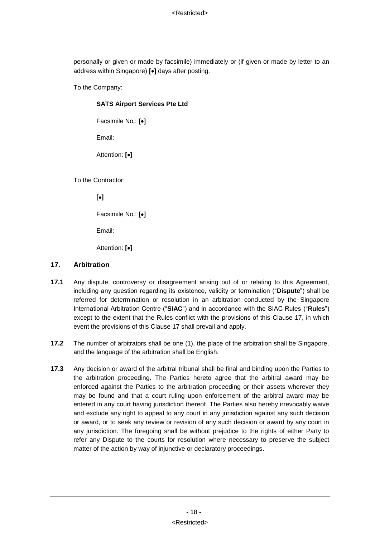personally or given or made by facsimile) immediately or (if given or made by letter to an address within Singapore) **[]** days after posting.

To the Company:

# **SATS Airport Services Pte Ltd**

Facsimile No.: **[]**

Email:

Attention: **[]**

To the Contractor:

**[]**

Facsimile No.: **[]**

Email:

Attention: **[]**

#### <span id="page-20-0"></span>**17. Arbitration**

- **17.1** Any dispute, controversy or disagreement arising out of or relating to this Agreement, including any question regarding its existence, validity or termination ("**Dispute**") shall be referred for determination or resolution in an arbitration conducted by the Singapore International Arbitration Centre ("**SIAC**") and in accordance with the SIAC Rules ("**Rules**") except to the extent that the Rules conflict with the provisions of this Clause [17,](#page-20-0) in which event the provisions of this Clause [17](#page-20-0) shall prevail and apply.
- **17.2** The number of arbitrators shall be one (1), the place of the arbitration shall be Singapore, and the language of the arbitration shall be English.
- **17.3** Any decision or award of the arbitral tribunal shall be final and binding upon the Parties to the arbitration proceeding. The Parties hereto agree that the arbitral award may be enforced against the Parties to the arbitration proceeding or their assets wherever they may be found and that a court ruling upon enforcement of the arbitral award may be entered in any court having jurisdiction thereof. The Parties also hereby irrevocably waive and exclude any right to appeal to any court in any jurisdiction against any such decision or award, or to seek any review or revision of any such decision or award by any court in any jurisdiction. The foregoing shall be without prejudice to the rights of either Party to refer any Dispute to the courts for resolution where necessary to preserve the subject matter of the action by way of injunctive or declaratory proceedings.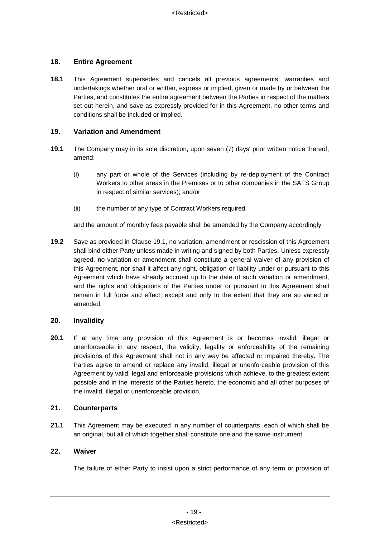# **18. Entire Agreement**

**18.1** This Agreement supersedes and cancels all previous agreements, warranties and undertakings whether oral or written, express or implied, given or made by or between the Parties, and constitutes the entire agreement between the Parties in respect of the matters set out herein, and save as expressly provided for in this Agreement, no other terms and conditions shall be included or implied.

## **19. Variation and Amendment**

- **19.1** The Company may in its sole discretion, upon seven (7) days' prior written notice thereof, amend:
	- (i) any part or whole of the Services (including by re-deployment of the Contract Workers to other areas in the Premises or to other companies in the SATS Group in respect of similar services); and/or
	- (ii) the number of any type of Contract Workers required,

and the amount of monthly fees payable shall be amended by the Company accordingly.

**19.2** Save as provided in Clause 19.1, no variation, amendment or rescission of this Agreement shall bind either Party unless made in writing and signed by both Parties. Unless expressly agreed, no variation or amendment shall constitute a general waiver of any provision of this Agreement, nor shall it affect any right, obligation or liability under or pursuant to this Agreement which have already accrued up to the date of such variation or amendment, and the rights and obligations of the Parties under or pursuant to this Agreement shall remain in full force and effect, except and only to the extent that they are so varied or amended.

# **20. Invalidity**

**20.1** If at any time any provision of this Agreement is or becomes invalid, illegal or unenforceable in any respect, the validity, legality or enforceability of the remaining provisions of this Agreement shall not in any way be affected or impaired thereby. The Parties agree to amend or replace any invalid, illegal or unenforceable provision of this Agreement by valid, legal and enforceable provisions which achieve, to the greatest extent possible and in the interests of the Parties hereto, the economic and all other purposes of the invalid, illegal or unenforceable provision.

# **21. Counterparts**

**21.1** This Agreement may be executed in any number of counterparts, each of which shall be an original, but all of which together shall constitute one and the same instrument.

#### **22. Waiver**

The failure of either Party to insist upon a strict performance of any term or provision of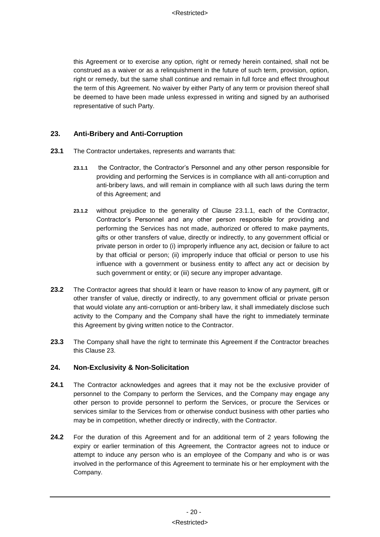this Agreement or to exercise any option, right or remedy herein contained, shall not be construed as a waiver or as a relinquishment in the future of such term, provision, option, right or remedy, but the same shall continue and remain in full force and effect throughout the term of this Agreement. No waiver by either Party of any term or provision thereof shall be deemed to have been made unless expressed in writing and signed by an authorised representative of such Party.

# **23. Anti-Bribery and Anti-Corruption**

- **23.1** The Contractor undertakes, represents and warrants that:
	- **23.1.1** the Contractor, the Contractor's Personnel and any other person responsible for providing and performing the Services is in compliance with all anti-corruption and anti-bribery laws, and will remain in compliance with all such laws during the term of this Agreement; and
	- **23.1.2** without prejudice to the generality of Clause 23.1.1, each of the Contractor, Contractor's Personnel and any other person responsible for providing and performing the Services has not made, authorized or offered to make payments, gifts or other transfers of value, directly or indirectly, to any government official or private person in order to (i) improperly influence any act, decision or failure to act by that official or person; (ii) improperly induce that official or person to use his influence with a government or business entity to affect any act or decision by such government or entity; or (iii) secure any improper advantage.
- **23.2** The Contractor agrees that should it learn or have reason to know of any payment, gift or other transfer of value, directly or indirectly, to any government official or private person that would violate any anti-corruption or anti-bribery law, it shall immediately disclose such activity to the Company and the Company shall have the right to immediately terminate this Agreement by giving written notice to the Contractor.
- **23.3** The Company shall have the right to terminate this Agreement if the Contractor breaches this Clause 23.

# **24. Non-Exclusivity & Non-Solicitation**

- **24.1** The Contractor acknowledges and agrees that it may not be the exclusive provider of personnel to the Company to perform the Services, and the Company may engage any other person to provide personnel to perform the Services, or procure the Services or services similar to the Services from or otherwise conduct business with other parties who may be in competition, whether directly or indirectly, with the Contractor.
- **24.2** For the duration of this Agreement and for an additional term of 2 years following the expiry or earlier termination of this Agreement, the Contractor agrees not to induce or attempt to induce any person who is an employee of the Company and who is or was involved in the performance of this Agreement to terminate his or her employment with the Company.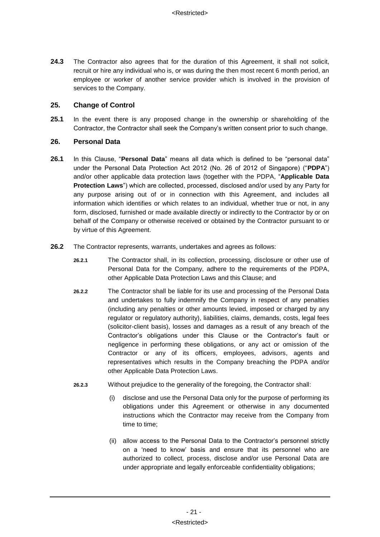**24.3** The Contractor also agrees that for the duration of this Agreement, it shall not solicit, recruit or hire any individual who is, or was during the then most recent 6 month period, an employee or worker of another service provider which is involved in the provision of services to the Company.

# **25. Change of Control**

**25.1** In the event there is any proposed change in the ownership or shareholding of the Contractor, the Contractor shall seek the Company's written consent prior to such change.

#### **26. Personal Data**

- **26.1** In this Clause, "**Personal Data**" means all data which is defined to be "personal data" under the Personal Data Protection Act 2012 (No. 26 of 2012 of Singapore) ("**PDPA**") and/or other applicable data protection laws (together with the PDPA, "**Applicable Data Protection Laws**") which are collected, processed, disclosed and/or used by any Party for any purpose arising out of or in connection with this Agreement, and includes all information which identifies or which relates to an individual, whether true or not, in any form, disclosed, furnished or made available directly or indirectly to the Contractor by or on behalf of the Company or otherwise received or obtained by the Contractor pursuant to or by virtue of this Agreement.
- **26.2** The Contractor represents, warrants, undertakes and agrees as follows:
	- **26.2.1** The Contractor shall, in its collection, processing, disclosure or other use of Personal Data for the Company, adhere to the requirements of the PDPA, other Applicable Data Protection Laws and this Clause; and
	- **26.2.2** The Contractor shall be liable for its use and processing of the Personal Data and undertakes to fully indemnify the Company in respect of any penalties (including any penalties or other amounts levied, imposed or charged by any regulator or regulatory authority), liabilities, claims, demands, costs, legal fees (solicitor-client basis), losses and damages as a result of any breach of the Contractor's obligations under this Clause or the Contractor's fault or negligence in performing these obligations, or any act or omission of the Contractor or any of its officers, employees, advisors, agents and representatives which results in the Company breaching the PDPA and/or other Applicable Data Protection Laws.
	- **26.2.3** Without prejudice to the generality of the foregoing, the Contractor shall:
		- (i) disclose and use the Personal Data only for the purpose of performing its obligations under this Agreement or otherwise in any documented instructions which the Contractor may receive from the Company from time to time;
		- (ii) allow access to the Personal Data to the Contractor's personnel strictly on a 'need to know' basis and ensure that its personnel who are authorized to collect, process, disclose and/or use Personal Data are under appropriate and legally enforceable confidentiality obligations;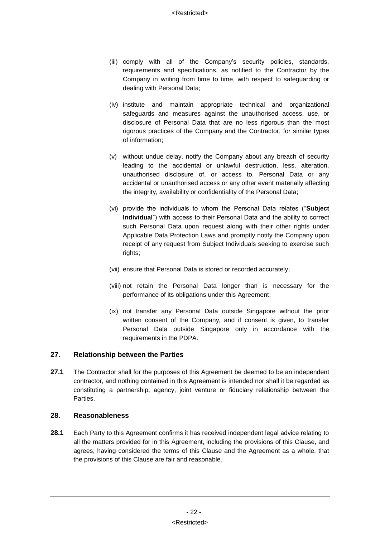- (iii) comply with all of the Company's security policies, standards, requirements and specifications, as notified to the Contractor by the Company in writing from time to time, with respect to safeguarding or dealing with Personal Data;
- (iv) institute and maintain appropriate technical and organizational safeguards and measures against the unauthorised access, use, or disclosure of Personal Data that are no less rigorous than the most rigorous practices of the Company and the Contractor, for similar types of information;
- (v) without undue delay, notify the Company about any breach of security leading to the accidental or unlawful destruction, less, alteration, unauthorised disclosure of, or access to, Personal Data or any accidental or unauthorised access or any other event materially affecting the integrity, availability or confidentiality of the Personal Data;
- (vi) provide the individuals to whom the Personal Data relates ("**Subject Individual**") with access to their Personal Data and the ability to correct such Personal Data upon request along with their other rights under Applicable Data Protection Laws and promptly notify the Company upon receipt of any request from Subject Individuals seeking to exercise such rights;
- (vii) ensure that Personal Data is stored or recorded accurately;
- (viii) not retain the Personal Data longer than is necessary for the performance of its obligations under this Agreement;
- (ix) not transfer any Personal Data outside Singapore without the prior written consent of the Company, and if consent is given, to transfer Personal Data outside Singapore only in accordance with the requirements in the PDPA.

# **27. Relationship between the Parties**

**27.1** The Contractor shall for the purposes of this Agreement be deemed to be an independent contractor, and nothing contained in this Agreement is intended nor shall it be regarded as constituting a partnership, agency, joint venture or fiduciary relationship between the Parties.

# **28. Reasonableness**

**28.1** Each Party to this Agreement confirms it has received independent legal advice relating to all the matters provided for in this Agreement, including the provisions of this Clause, and agrees, having considered the terms of this Clause and the Agreement as a whole, that the provisions of this Clause are fair and reasonable.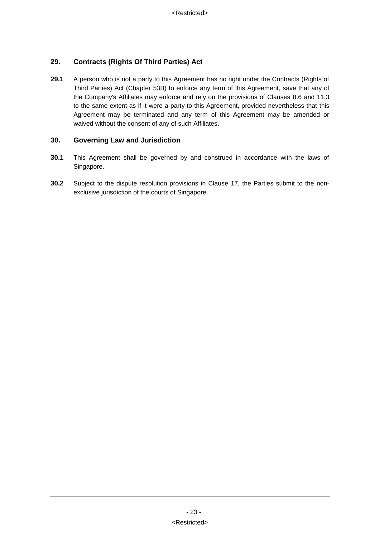# **29. Contracts (Rights Of Third Parties) Act**

**29.1** A person who is not a party to this Agreement has no right under the Contracts (Rights of Third Parties) Act (Chapter 53B) to enforce any term of this Agreement, save that any of the Company's Affiliates may enforce and rely on the provisions of Clauses [8.6](#page-12-3) and [11.3](#page-16-2) to the same extent as if it were a party to this Agreement, provided nevertheless that this Agreement may be terminated and any term of this Agreement may be amended or waived without the consent of any of such Affiliates.

# **30. Governing Law and Jurisdiction**

- **30.1** This Agreement shall be governed by and construed in accordance with the laws of Singapore.
- **30.2** Subject to the dispute resolution provisions in Clause [17,](#page-20-0) the Parties submit to the nonexclusive jurisdiction of the courts of Singapore.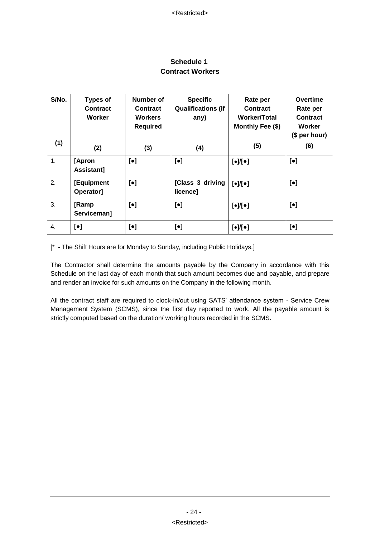# **Schedule 1 Contract Workers**

<span id="page-26-0"></span>

| S/No.            | <b>Types of</b>           | Number of                 | <b>Specific</b>              | Rate per                                            | <b>Overtime</b> |
|------------------|---------------------------|---------------------------|------------------------------|-----------------------------------------------------|-----------------|
|                  | <b>Contract</b>           | Contract                  | <b>Qualifications (if</b>    | Contract                                            | Rate per        |
|                  | Worker                    | <b>Workers</b>            | any)                         | Worker/Total                                        | Contract        |
|                  |                           | <b>Required</b>           |                              | Monthly Fee (\$)                                    | Worker          |
|                  |                           |                           |                              |                                                     | (\$ per hour)   |
| (1)              | (2)                       | (3)                       | (4)                          | (5)                                                 | (6)             |
| 1.               | [Apron<br>Assistant]      | $\lbrack \bullet \rbrack$ | $\lbrack \bullet \rbrack$    | $[\bullet] / [\bullet]$                             | $[\bullet]$     |
| 2.               | [Equipment<br>Operator]   | $[\bullet]$               | [Class 3 driving<br>licence] | $\lbrack \bullet \rbrack / \lbrack \bullet \rbrack$ | $[\bullet]$     |
| 3.               | [Ramp<br>Serviceman]      | $\lbrack \bullet \rbrack$ | $[\bullet]$                  | $\lbrack \bullet \rbrack / \lbrack \bullet \rbrack$ | $[\bullet]$     |
| $\overline{4}$ . | $\lbrack \bullet \rbrack$ | $[\bullet]$               | $[\bullet]$                  | $\lbrack \bullet \rbrack / \lbrack \bullet \rbrack$ | $[\bullet]$     |

[\* - The Shift Hours are for Monday to Sunday, including Public Holidays.]

The Contractor shall determine the amounts payable by the Company in accordance with this Schedule on the last day of each month that such amount becomes due and payable, and prepare and render an invoice for such amounts on the Company in the following month.

All the contract staff are required to clock-in/out using SATS' attendance system - Service Crew Management System (SCMS), since the first day reported to work. All the payable amount is strictly computed based on the duration/ working hours recorded in the SCMS.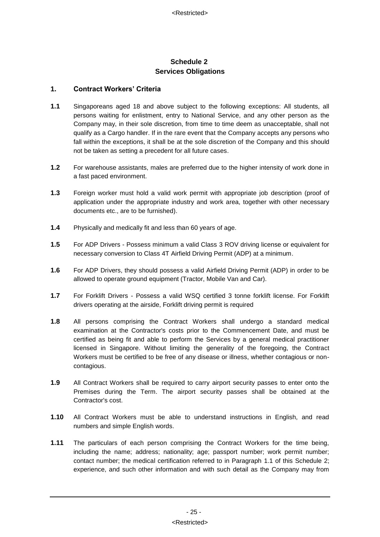# **Schedule 2 Services Obligations**

#### <span id="page-27-1"></span><span id="page-27-0"></span>**1. Contract Workers' Criteria**

- <span id="page-27-2"></span>**1.1** Singaporeans aged 18 and above subject to the following exceptions: All students, all persons waiting for enlistment, entry to National Service, and any other person as the Company may, in their sole discretion, from time to time deem as unacceptable, shall not qualify as a Cargo handler. If in the rare event that the Company accepts any persons who fall within the exceptions, it shall be at the sole discretion of the Company and this should not be taken as setting a precedent for all future cases.
- **1.2** For warehouse assistants, males are preferred due to the higher intensity of work done in a fast paced environment.
- **1.3** Foreign worker must hold a valid work permit with appropriate job description (proof of application under the appropriate industry and work area, together with other necessary documents etc., are to be furnished).
- **1.4** Physically and medically fit and less than 60 years of age.
- **1.5** For ADP Drivers Possess minimum a valid Class 3 ROV driving license or equivalent for necessary conversion to Class 4T Airfield Driving Permit (ADP) at a minimum.
- **1.6** For ADP Drivers, they should possess a valid Airfield Driving Permit (ADP) in order to be allowed to operate ground equipment (Tractor, Mobile Van and Car).
- **1.7** For Forklift Drivers Possess a valid WSQ certified 3 tonne forklift license. For Forklift drivers operating at the airside, Forklift driving permit is required
- **1.8** All persons comprising the Contract Workers shall undergo a standard medical examination at the Contractor's costs prior to the Commencement Date, and must be certified as being fit and able to perform the Services by a general medical practitioner licensed in Singapore. Without limiting the generality of the foregoing, the Contract Workers must be certified to be free of any disease or illness, whether contagious or noncontagious.
- **1.9** All Contract Workers shall be required to carry airport security passes to enter onto the Premises during the Term. The airport security passes shall be obtained at the Contractor's cost.
- **1.10** All Contract Workers must be able to understand instructions in English, and read numbers and simple English words.
- **1.11** The particulars of each person comprising the Contract Workers for the time being, including the name; address; nationality; age; passport number; work permit number; contact number; the medical certification referred to in Paragraph [1.1](#page-27-2) of this [Schedule 2;](#page-27-1) experience, and such other information and with such detail as the Company may from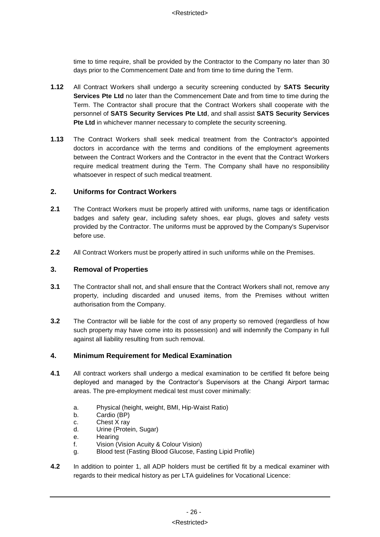time to time require, shall be provided by the Contractor to the Company no later than 30 days prior to the Commencement Date and from time to time during the Term.

- **1.12** All Contract Workers shall undergo a security screening conducted by **SATS Security Services Pte Ltd** no later than the Commencement Date and from time to time during the Term. The Contractor shall procure that the Contract Workers shall cooperate with the personnel of **SATS Security Services Pte Ltd**, and shall assist **SATS Security Services Pte Ltd** in whichever manner necessary to complete the security screening.
- **1.13** The Contract Workers shall seek medical treatment from the Contractor's appointed doctors in accordance with the terms and conditions of the employment agreements between the Contract Workers and the Contractor in the event that the Contract Workers require medical treatment during the Term. The Company shall have no responsibility whatsoever in respect of such medical treatment.

# **2. Uniforms for Contract Workers**

- **2.1** The Contract Workers must be properly attired with uniforms, name tags or identification badges and safety gear, including safety shoes, ear plugs, gloves and safety vests provided by the Contractor. The uniforms must be approved by the Company's Supervisor before use.
- **2.2** All Contract Workers must be properly attired in such uniforms while on the Premises.

#### **3. Removal of Properties**

- **3.1** The Contractor shall not, and shall ensure that the Contract Workers shall not, remove any property, including discarded and unused items, from the Premises without written authorisation from the Company.
- **3.2** The Contractor will be liable for the cost of any property so removed (regardless of how such property may have come into its possession) and will indemnify the Company in full against all liability resulting from such removal.

# **4. Minimum Requirement for Medical Examination**

- **4.1** All contract workers shall undergo a medical examination to be certified fit before being deployed and managed by the Contractor's Supervisors at the Changi Airport tarmac areas. The pre-employment medical test must cover minimally:
	- a. Physical (height, weight, BMI, Hip-Waist Ratio)
	- b. Cardio (BP)
	- c. Chest X ray
	- d. Urine (Protein, Sugar)
	- e. Hearing
	- f. Vision (Vision Acuity & Colour Vision)
	- g. Blood test (Fasting Blood Glucose, Fasting Lipid Profile)
- **4.2** In addition to pointer 1, all ADP holders must be certified fit by a medical examiner with regards to their medical history as per LTA guidelines for Vocational Licence: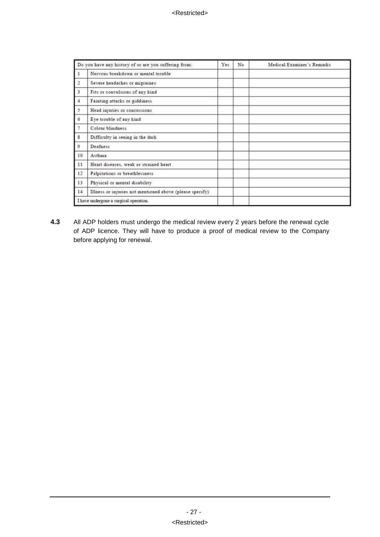| Do you have any history of or are you suffering from: |                                                          | Yes | No | Medical Examiner's Remarks |
|-------------------------------------------------------|----------------------------------------------------------|-----|----|----------------------------|
|                                                       | Nervous breakdown or mental trouble                      |     |    |                            |
| 2                                                     | Severe headaches or migraines                            |     |    |                            |
| $\overline{\mathbf{3}}$                               | Fits or convulsions of any kind                          |     |    |                            |
| 4                                                     | Fainting attacks or giddiness.                           |     |    |                            |
| 5                                                     | Head injuries or concussions                             |     |    |                            |
| 6                                                     | Eye trouble of any kind                                  |     |    |                            |
| 7                                                     | Colour blindness                                         |     |    |                            |
| $\overline{\mathbf{g}}$                               | Difficulty in seeing in the dark                         |     |    |                            |
| 9                                                     | Deafness                                                 |     |    |                            |
| 10                                                    | Asthma                                                   |     |    |                            |
| 11                                                    | Heart diseases, weak or strained heart                   |     |    |                            |
| 12                                                    | Palpitations or breathlessness                           |     |    |                            |
| 13 <sub>1</sub>                                       | Physical or mental disability                            |     |    |                            |
| 14                                                    | Illness or injuries not mentioned above (please specify) |     |    |                            |
|                                                       | I have undergone a surgical operation.                   |     |    |                            |

**4.3** All ADP holders must undergo the medical review every 2 years before the renewal cycle of ADP licence. They will have to produce a proof of medical review to the Company before applying for renewal.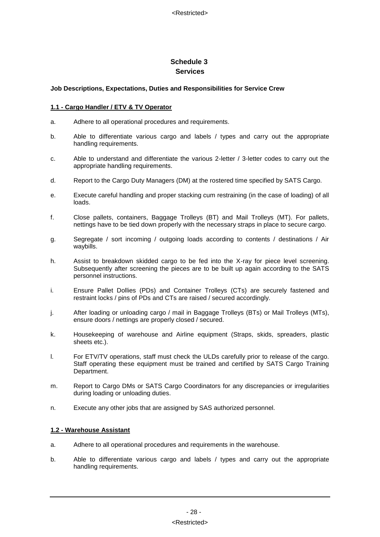# **Schedule 3 Services**

#### <span id="page-30-0"></span>**Job Descriptions, Expectations, Duties and Responsibilities for Service Crew**

#### **1.1 - Cargo Handler / ETV & TV Operator**

- a. Adhere to all operational procedures and requirements.
- b. Able to differentiate various cargo and labels / types and carry out the appropriate handling requirements.
- c. Able to understand and differentiate the various 2-letter / 3-letter codes to carry out the appropriate handling requirements.
- d. Report to the Cargo Duty Managers (DM) at the rostered time specified by SATS Cargo.
- e. Execute careful handling and proper stacking cum restraining (in the case of loading) of all loads.
- f. Close pallets, containers, Baggage Trolleys (BT) and Mail Trolleys (MT). For pallets, nettings have to be tied down properly with the necessary straps in place to secure cargo.
- g. Segregate / sort incoming / outgoing loads according to contents / destinations / Air waybills.
- h. Assist to breakdown skidded cargo to be fed into the X-ray for piece level screening. Subsequently after screening the pieces are to be built up again according to the SATS personnel instructions.
- i. Ensure Pallet Dollies (PDs) and Container Trolleys (CTs) are securely fastened and restraint locks / pins of PDs and CTs are raised / secured accordingly.
- j. After loading or unloading cargo / mail in Baggage Trolleys (BTs) or Mail Trolleys (MTs), ensure doors / nettings are properly closed / secured.
- k. Housekeeping of warehouse and Airline equipment (Straps, skids, spreaders, plastic sheets etc.).
- l. For ETV/TV operations, staff must check the ULDs carefully prior to release of the cargo. Staff operating these equipment must be trained and certified by SATS Cargo Training Department.
- m. Report to Cargo DMs or SATS Cargo Coordinators for any discrepancies or irregularities during loading or unloading duties.
- n. Execute any other jobs that are assigned by SAS authorized personnel.

#### **1.2 - Warehouse Assistant**

- a. Adhere to all operational procedures and requirements in the warehouse.
- b. Able to differentiate various cargo and labels / types and carry out the appropriate handling requirements.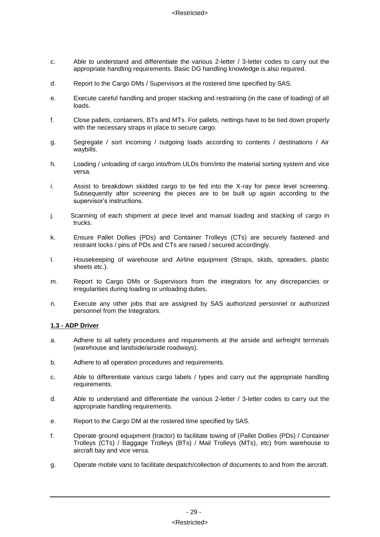- c. Able to understand and differentiate the various 2-letter / 3-letter codes to carry out the appropriate handling requirements. Basic DG handling knowledge is also required.
- d. Report to the Cargo DMs / Supervisors at the rostered time specified by SAS.
- e. Execute careful handling and proper stacking and restraining (in the case of loading) of all loads.
- f. Close pallets, containers, BTs and MTs. For pallets, nettings have to be tied down properly with the necessary straps in place to secure cargo.
- g. Segregate / sort incoming / outgoing loads according to contents / destinations / Air waybills.
- h. Loading / unloading of cargo into/from ULDs from/into the material sorting system and vice versa.
- i. Assist to breakdown skidded cargo to be fed into the X-ray for piece level screening. Subsequently after screening the pieces are to be built up again according to the supervisor's instructions.
- j. Scanning of each shipment at piece level and manual loading and stacking of cargo in trucks.
- k. Ensure Pallet Dollies (PDs) and Container Trolleys (CTs) are securely fastened and restraint locks / pins of PDs and CTs are raised / secured accordingly.
- l. Housekeeping of warehouse and Airline equipment (Straps, skids, spreaders, plastic sheets etc.).
- m. Report to Cargo DMs or Supervisors from the integrators for any discrepancies or irregularities during loading or unloading duties.
- n. Execute any other jobs that are assigned by SAS authorized personnel or authorized personnel from the Integrators.

#### **1.3 - ADP Driver**

- a. Adhere to all safety procedures and requirements at the airside and airfreight terminals (warehouse and landside/airside roadways).
- b. Adhere to all operation procedures and requirements.
- c. Able to differentiate various cargo labels / types and carry out the appropriate handling requirements.
- d. Able to understand and differentiate the various 2-letter / 3-letter codes to carry out the appropriate handling requirements.
- e. Report to the Cargo DM at the rostered time specified by SAS.
- f. Operate ground equipment (tractor) to facilitate towing of (Pallet Dollies (PDs) / Container Trolleys (CTs) / Baggage Trolleys (BTs) / Mail Trolleys (MTs), etc) from warehouse to aircraft bay and vice versa.
- g. Operate mobile vans to facilitate despatch/collection of documents to and from the aircraft.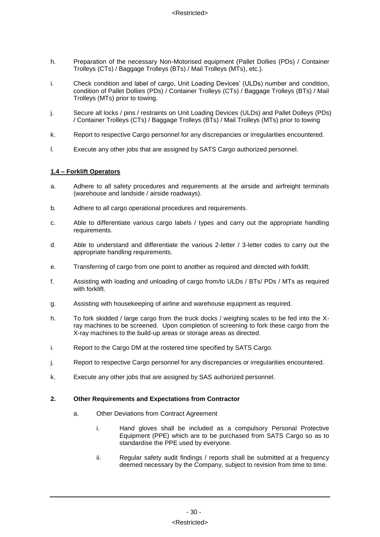- h. Preparation of the necessary Non-Motorised equipment (Pallet Dollies (PDs) / Container Trolleys (CTs) / Baggage Trolleys (BTs) / Mail Trolleys (MTs), etc.).
- i. Check condition and label of cargo, Unit Loading Devices' (ULDs) number and condition, condition of Pallet Dollies (PDs) / Container Trolleys (CTs) / Baggage Trolleys (BTs) / Mail Trolleys (MTs) prior to towing.
- j. Secure all locks / pins / restraints on Unit Loading Devices (ULDs) and Pallet Dolleys (PDs) / Container Trolleys (CTs) / Baggage Trolleys (BTs) / Mail Trolleys (MTs) prior to towing
- k. Report to respective Cargo personnel for any discrepancies or irregularities encountered.
- l. Execute any other jobs that are assigned by SATS Cargo authorized personnel.

#### **1.4 – Forklift Operators**

- a. Adhere to all safety procedures and requirements at the airside and airfreight terminals (warehouse and landside / airside roadways).
- b. Adhere to all cargo operational procedures and requirements.
- c. Able to differentiate various cargo labels / types and carry out the appropriate handling requirements.
- d. Able to understand and differentiate the various 2-letter / 3-letter codes to carry out the appropriate handling requirements.
- e. Transferring of cargo from one point to another as required and directed with forklift.
- f. Assisting with loading and unloading of cargo from/to ULDs / BTs/ PDs / MTs as required with forklift.
- g. Assisting with housekeeping of airline and warehouse equipment as required.
- h. To fork skidded / large cargo from the truck docks / weighing scales to be fed into the Xray machines to be screened. Upon completion of screening to fork these cargo from the X-ray machines to the build-up areas or storage areas as directed.
- i. Report to the Cargo DM at the rostered time specified by SATS Cargo.
- j. Report to respective Cargo personnel for any discrepancies or irregularities encountered.
- k. Execute any other jobs that are assigned by SAS authorized personnel.

#### **2. Other Requirements and Expectations from Contractor**

- a. Other Deviations from Contract Agreement
	- i. Hand gloves shall be included as a compulsory Personal Protective Equipment (PPE) which are to be purchased from SATS Cargo so as to standardise the PPE used by everyone.
	- ii. Regular safety audit findings / reports shall be submitted at a frequency deemed necessary by the Company, subject to revision from time to time.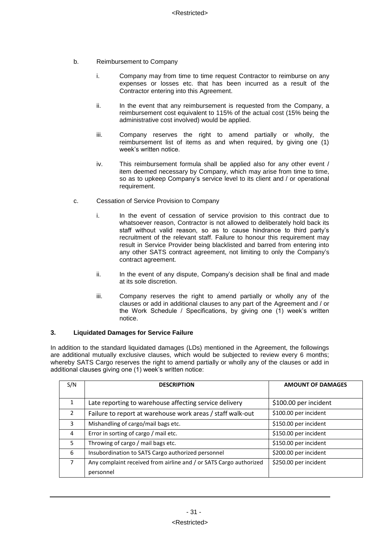- b. Reimbursement to Company
	- i. Company may from time to time request Contractor to reimburse on any expenses or losses etc. that has been incurred as a result of the Contractor entering into this Agreement.
	- ii. In the event that any reimbursement is requested from the Company, a reimbursement cost equivalent to 115% of the actual cost (15% being the administrative cost involved) would be applied.
	- iii. Company reserves the right to amend partially or wholly, the reimbursement list of items as and when required, by giving one (1) week's written notice.
	- iv. This reimbursement formula shall be applied also for any other event / item deemed necessary by Company, which may arise from time to time, so as to upkeep Company's service level to its client and / or operational requirement.
- c. Cessation of Service Provision to Company
	- i. In the event of cessation of service provision to this contract due to whatsoever reason, Contractor is not allowed to deliberately hold back its staff without valid reason, so as to cause hindrance to third party's recruitment of the relevant staff. Failure to honour this requirement may result in Service Provider being blacklisted and barred from entering into any other SATS contract agreement, not limiting to only the Company's contract agreement.
	- ii. In the event of any dispute, Company's decision shall be final and made at its sole discretion.
	- iii. Company reserves the right to amend partially or wholly any of the clauses or add in additional clauses to any part of the Agreement and / or the Work Schedule / Specifications, by giving one (1) week's written notice.

#### **3. Liquidated Damages for Service Failure**

In addition to the standard liquidated damages (LDs) mentioned in the Agreement, the followings are additional mutually exclusive clauses, which would be subjected to review every 6 months; whereby SATS Cargo reserves the right to amend partially or wholly any of the clauses or add in additional clauses giving one (1) week's written notice:

| S/N            | <b>DESCRIPTION</b>                                                 | <b>AMOUNT OF DAMAGES</b> |
|----------------|--------------------------------------------------------------------|--------------------------|
|                |                                                                    |                          |
| 1              | Late reporting to warehouse affecting service delivery             | \$100.00 per incident    |
| $\overline{2}$ | Failure to report at warehouse work areas / staff walk-out         | \$100.00 per incident    |
| 3              | Mishandling of cargo/mail bags etc.                                | \$150.00 per incident    |
| 4              | Error in sorting of cargo / mail etc.                              | \$150.00 per incident    |
| 5              | Throwing of cargo / mail bags etc.                                 | \$150.00 per incident    |
| 6              | Insubordination to SATS Cargo authorized personnel                 | \$200.00 per incident    |
| $\overline{7}$ | Any complaint received from airline and / or SATS Cargo authorized | \$250.00 per incident    |
|                | personnel                                                          |                          |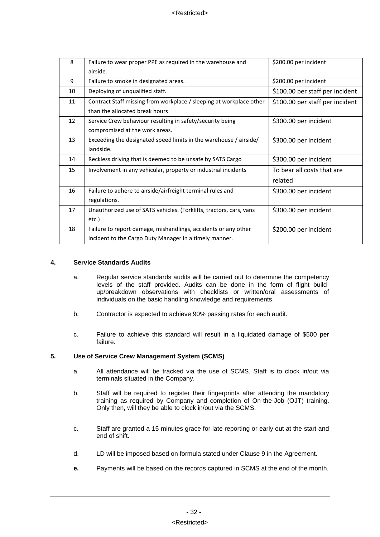| 8  | Failure to wear proper PPE as required in the warehouse and         | \$200.00 per incident           |
|----|---------------------------------------------------------------------|---------------------------------|
|    | airside.                                                            |                                 |
| 9  | Failure to smoke in designated areas.                               | \$200.00 per incident           |
| 10 | Deploying of unqualified staff.                                     | \$100.00 per staff per incident |
| 11 | Contract Staff missing from workplace / sleeping at workplace other | \$100.00 per staff per incident |
|    | than the allocated break hours                                      |                                 |
| 12 | Service Crew behaviour resulting in safety/security being           | \$300.00 per incident           |
|    | compromised at the work areas.                                      |                                 |
| 13 | Exceeding the designated speed limits in the warehouse / airside/   | \$300.00 per incident           |
|    | landside.                                                           |                                 |
| 14 | Reckless driving that is deemed to be unsafe by SATS Cargo          | \$300.00 per incident           |
| 15 | Involvement in any vehicular, property or industrial incidents      | To bear all costs that are      |
|    |                                                                     | related                         |
| 16 | Failure to adhere to airside/airfreight terminal rules and          | \$300.00 per incident           |
|    | regulations.                                                        |                                 |
| 17 | Unauthorized use of SATS vehicles. (Forklifts, tractors, cars, vans | \$300.00 per incident           |
|    | etc.)                                                               |                                 |
| 18 | Failure to report damage, mishandlings, accidents or any other      | \$200.00 per incident           |
|    | incident to the Cargo Duty Manager in a timely manner.              |                                 |

#### **4. Service Standards Audits**

- a. Regular service standards audits will be carried out to determine the competency levels of the staff provided. Audits can be done in the form of flight buildup/breakdown observations with checklists or written/oral assessments of individuals on the basic handling knowledge and requirements.
- b. Contractor is expected to achieve 90% passing rates for each audit.
- c. Failure to achieve this standard will result in a liquidated damage of \$500 per failure.

#### **5. Use of Service Crew Management System (SCMS)**

- a. All attendance will be tracked via the use of SCMS. Staff is to clock in/out via terminals situated in the Company.
- b. Staff will be required to register their fingerprints after attending the mandatory training as required by Company and completion of On-the-Job (OJT) training. Only then, will they be able to clock in/out via the SCMS.
- c. Staff are granted a 15 minutes grace for late reporting or early out at the start and end of shift.
- d. LD will be imposed based on formula stated under Clause 9 in the Agreement.
- **e.** Payments will be based on the records captured in SCMS at the end of the month.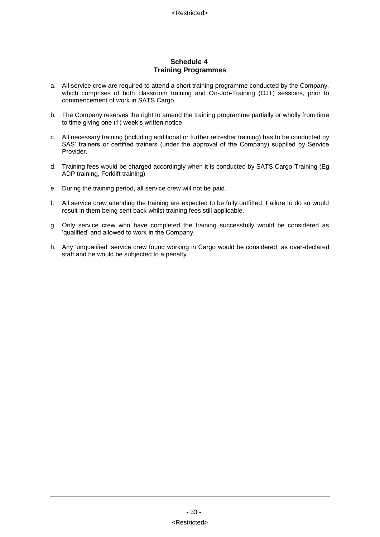#### **Schedule 4 Training Programmes**

- a. All service crew are required to attend a short training programme conducted by the Company, which comprises of both classroom training and On-Job-Training (OJT) sessions, prior to commencement of work in SATS Cargo.
- b. The Company reserves the right to amend the training programme partially or wholly from time to time giving one (1) week's written notice.
- c. All necessary training (including additional or further refresher training) has to be conducted by SAS' trainers or certified trainers (under the approval of the Company) supplied by Service Provider.
- d. Training fees would be charged accordingly when it is conducted by SATS Cargo Training (Eg ADP training, Forklift training)
- e. During the training period, all service crew will not be paid.
- f. All service crew attending the training are expected to be fully outfitted. Failure to do so would result in them being sent back whilst training fees still applicable.
- g. Only service crew who have completed the training successfully would be considered as 'qualified' and allowed to work in the Company.
- h. Any 'unqualified' service crew found working in Cargo would be considered, as over-declared staff and he would be subjected to a penalty.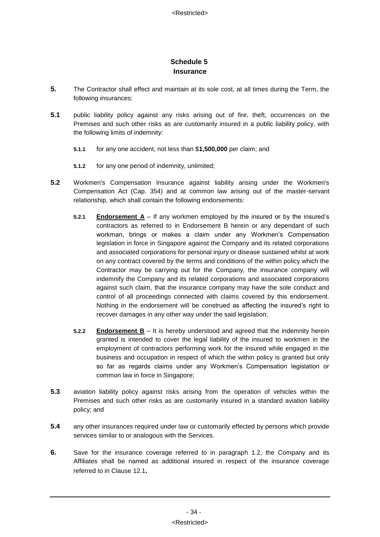# **Schedule 5 Insurance**

- <span id="page-36-0"></span>**5.** The Contractor shall effect and maintain at its sole cost, at all times during the Term, the following insurances:
- **5.1** public liability policy against any risks arising out of fire, theft, occurrences on the Premises and such other risks as are customarily insured in a public liability policy, with the following limits of indemnity:
	- **5.1.1** for any one accident, not less than \$**1,500,000** per claim; and
	- **5.1.2** for any one period of indemnity, unlimited;
- **5.2** Workmen's Compensation Insurance against liability arising under the Workmen's Compensation Act (Cap. 354) and at common law arising out of the master-servant relationship, which shall contain the following endorsements:
	- **5.2.1 Endorsement A** If any workmen employed by the insured or by the insured's contractors as referred to in Endorsement B herein or any dependant of such workman, brings or makes a claim under any Workmen's Compensation legislation in force in Singapore against the Company and its related corporations and associated corporations for personal injury or disease sustained whilst at work on any contract covered by the terms and conditions of the within policy which the Contractor may be carrying out for the Company, the insurance company will indemnify the Company and its related corporations and associated corporations against such claim, that the insurance company may have the sole conduct and control of all proceedings connected with claims covered by this endorsement. Nothing in the endorsement will be construed as affecting the insured's right to recover damages in any other way under the said legislation;
	- **5.2.2 Endorsement B** It is hereby understood and agreed that the indemnity herein granted is intended to cover the legal liability of the insured to workmen in the employment of contractors performing work for the insured while engaged in the business and occupation in respect of which the within policy is granted but only so far as regards claims under any Workmen's Compensation legislation or common law in force in Singapore;
- **5.3** aviation liability policy against risks arising from the operation of vehicles within the Premises and such other risks as are customarily insured in a standard aviation liability policy; and
- **5.4** any other insurances required under law or customarily effected by persons which provide services similar to or analogous with the Services.
- **6.** Save for the insurance coverage referred to in paragraph 1.2, the Company and its Affiliates shall be named as additional insured in respect of the insurance coverage referred to in Clause [12.1](#page-16-0)**.**